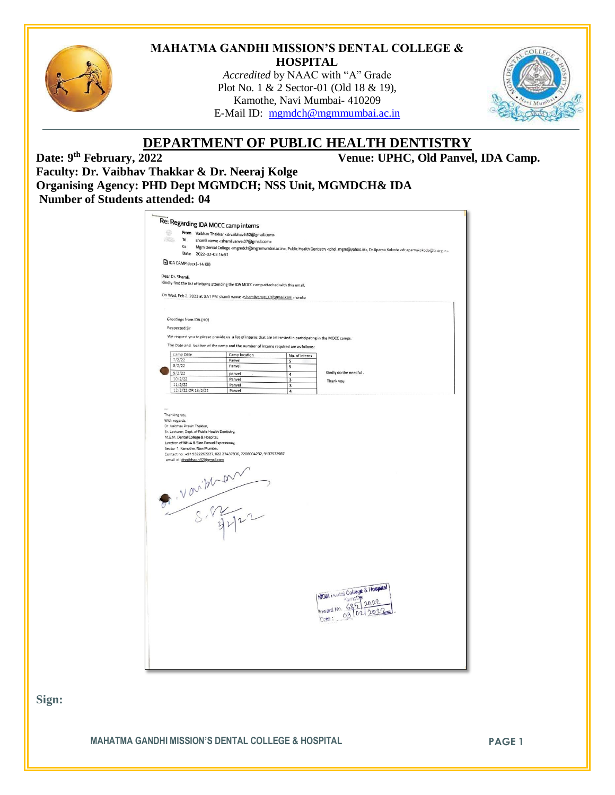

#### **MAHATMA GANDHI MISSION'S DENTAL COLLEGE & HOSPITAL**

*Accredited* by NAAC with "A" Grade Plot No. 1 & 2 Sector-01 (Old 18 & 19), Kamothe, Navi Mumbai- 410209 E-Mail ID: [mgmdch@mgmmumbai.ac.in](mailto:mgmdch@mgmmumbai.ac.in)



# **DEPARTMENT OF PUBLIC HEALTH DENTISTRY**

Venue: UPHC, Old Panvel, IDA Camp.

Date: 9<sup>th</sup> February, 2022 **Faculty: Dr. Vaibhav Thakkar & Dr. Neeraj Kolge Organising Agency: PHD Dept MGMDCH; NSS Unit, MGMDCH& IDA Number of Students attended: 04**

| 62<br><b>All Street</b> |                                              |                                                                                                                                                                                                             |                                                                                                                                                 |                                                                                                               |                                                                                                                                                                                                                 |  |  |
|-------------------------|----------------------------------------------|-------------------------------------------------------------------------------------------------------------------------------------------------------------------------------------------------------------|-------------------------------------------------------------------------------------------------------------------------------------------------|---------------------------------------------------------------------------------------------------------------|-----------------------------------------------------------------------------------------------------------------------------------------------------------------------------------------------------------------|--|--|
|                         | To                                           |                                                                                                                                                                                                             | From Vaibhav Thakkar <drvaibhav.h32@gmail.com><br/>shamli vanve <shamlivanve.07@gmail.com></shamlivanve.07@gmail.com></drvaibhav.h32@gmail.com> |                                                                                                               |                                                                                                                                                                                                                 |  |  |
|                         | Cc                                           |                                                                                                                                                                                                             |                                                                                                                                                 |                                                                                                               | Mgm Dental College <mgmdch@mgmmumbai.ac.in>, Public Health Dentistry <phd_mgm@yahoo.in>, Dr.Aparna Kokode <dr.aparnakokode@til.org.in></dr.aparnakokode@til.org.in></phd_mgm@yahoo.in></mgmdch@mgmmumbai.ac.in> |  |  |
|                         |                                              | Date 2022-02-03 14:51<br>DA CAMP.docx(~14 KB)                                                                                                                                                               |                                                                                                                                                 |                                                                                                               |                                                                                                                                                                                                                 |  |  |
|                         |                                              |                                                                                                                                                                                                             |                                                                                                                                                 |                                                                                                               |                                                                                                                                                                                                                 |  |  |
| Dear Dr. Shamli,        |                                              |                                                                                                                                                                                                             |                                                                                                                                                 |                                                                                                               |                                                                                                                                                                                                                 |  |  |
|                         |                                              |                                                                                                                                                                                                             | Kindly find the list of interns attending the IDA MOCC camp attached with this email.                                                           |                                                                                                               |                                                                                                                                                                                                                 |  |  |
|                         |                                              |                                                                                                                                                                                                             | On Wed, Feb 2, 2022 at 3:41 PM shamli vanve <shamlivanve.07@gmail.com> wrote:</shamlivanve.07@gmail.com>                                        |                                                                                                               |                                                                                                                                                                                                                 |  |  |
|                         |                                              |                                                                                                                                                                                                             |                                                                                                                                                 |                                                                                                               |                                                                                                                                                                                                                 |  |  |
|                         |                                              |                                                                                                                                                                                                             |                                                                                                                                                 |                                                                                                               |                                                                                                                                                                                                                 |  |  |
|                         | Greetings from IDA (HO)                      |                                                                                                                                                                                                             |                                                                                                                                                 |                                                                                                               |                                                                                                                                                                                                                 |  |  |
|                         | <b>Respected Sir</b>                         |                                                                                                                                                                                                             |                                                                                                                                                 |                                                                                                               |                                                                                                                                                                                                                 |  |  |
|                         |                                              |                                                                                                                                                                                                             |                                                                                                                                                 | We request you to please provide us a list of interns that are interested in participating in the MOCC camps. |                                                                                                                                                                                                                 |  |  |
|                         |                                              |                                                                                                                                                                                                             | The Date and location of the camp and the number of interns required are as follows:                                                            |                                                                                                               |                                                                                                                                                                                                                 |  |  |
|                         | Camp Date                                    |                                                                                                                                                                                                             | Camp location                                                                                                                                   | No. of interns                                                                                                |                                                                                                                                                                                                                 |  |  |
|                         | 7/2/22<br>8/2/22                             |                                                                                                                                                                                                             | Panvel                                                                                                                                          | 5                                                                                                             |                                                                                                                                                                                                                 |  |  |
|                         | 9/2/22                                       |                                                                                                                                                                                                             | Panvel                                                                                                                                          | 5                                                                                                             | Kindly do the needful.                                                                                                                                                                                          |  |  |
|                         | 10/2/22                                      |                                                                                                                                                                                                             | panvel<br>Panyel                                                                                                                                | $\overline{a}$<br>$\overline{\mathbf{3}}$                                                                     | Thank you                                                                                                                                                                                                       |  |  |
|                         | 11/2/22                                      |                                                                                                                                                                                                             | Panvel                                                                                                                                          | $\overline{\mathbf{3}}$                                                                                       |                                                                                                                                                                                                                 |  |  |
|                         | 12/2/22 OR 13/2/22                           |                                                                                                                                                                                                             | Panvel                                                                                                                                          | $\overline{4}$                                                                                                |                                                                                                                                                                                                                 |  |  |
|                         | With regards.<br>Dr. Vaibhav Pravin Thakkar, | Sr. Lecturer, Dept. of Public Health Dentistry,<br>M.G.M. Dental College & Hospital,<br>Junction of NH-4 & Sion Panvel Expressway,<br>Sector 1, Kamothe, Navi Mumbai.<br>email id : dryaibhav.h32@gmail.com | Contact no: +91 9322262227, 022 27437836, 7208004232, 9137572987                                                                                |                                                                                                               |                                                                                                                                                                                                                 |  |  |
|                         |                                              |                                                                                                                                                                                                             | P. Varishan                                                                                                                                     |                                                                                                               |                                                                                                                                                                                                                 |  |  |

**Sign:**

**MAHATMA GANDHI MISSION'S DENTAL COLLEGE & HOSPITAL PAGE 1**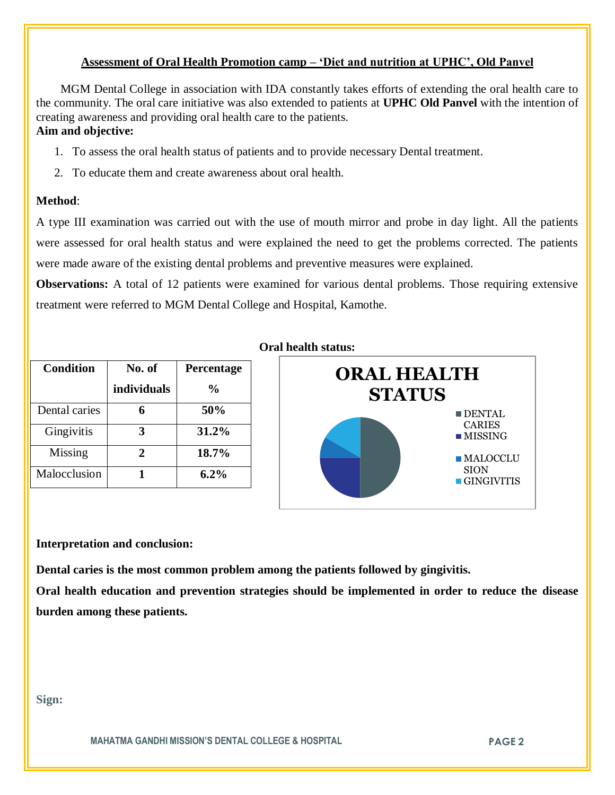## **Assessment of Oral Health Promotion camp – 'Diet and nutrition at UPHC', Old Panvel**

 MGM Dental College in association with IDA constantly takes efforts of extending the oral health care to the community. The oral care initiative was also extended to patients at **UPHC Old Panvel** with the intention of creating awareness and providing oral health care to the patients. **Aim and objective:** 

- 1. To assess the oral health status of patients and to provide necessary Dental treatment.
- 2. To educate them and create awareness about oral health.

## **Method**:

A type III examination was carried out with the use of mouth mirror and probe in day light. All the patients were assessed for oral health status and were explained the need to get the problems corrected. The patients were made aware of the existing dental problems and preventive measures were explained.

**Observations:** A total of 12 patients were examined for various dental problems. Those requiring extensive treatment were referred to MGM Dental College and Hospital, Kamothe.

| <b>Condition</b> | No. of      | Percentage     |
|------------------|-------------|----------------|
|                  | individuals | $\frac{6}{10}$ |
| Dental caries    |             | 50%            |
| Gingivitis       |             | 31.2%          |
| Missing          |             | 18.7%          |
| Malocclusion     |             | $6.2\%$        |





### **Interpretation and conclusion:**

**Dental caries is the most common problem among the patients followed by gingivitis.**

**Oral health education and prevention strategies should be implemented in order to reduce the disease burden among these patients.**

**Sign:**

**MAHATMA GANDHI MISSION'S DENTAL COLLEGE & HOSPITAL PAGE 2**